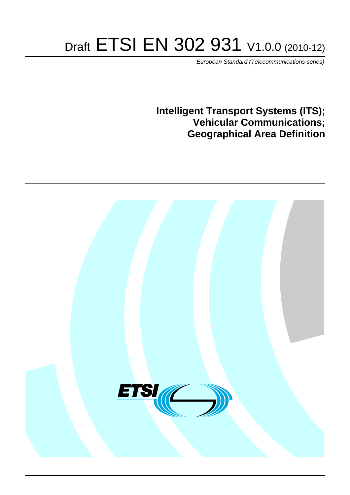# Draft ETSI EN 302 931 V1.0.0 (2010-12)

*European Standard (Telecommunications series)*

**Intelligent Transport Systems (ITS); Vehicular Communications; Geographical Area Definition**

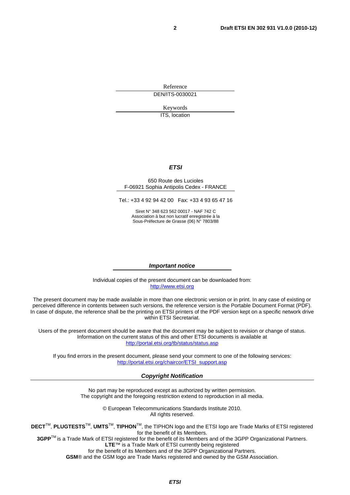Reference DEN/ITS-0030021

Keywords

ITS, location

#### *ETSI*

#### 650 Route des Lucioles F-06921 Sophia Antipolis Cedex - FRANCE

Tel.: +33 4 92 94 42 00 Fax: +33 4 93 65 47 16

Siret N° 348 623 562 00017 - NAF 742 C Association à but non lucratif enregistrée à la Sous-Préfecture de Grasse (06) N° 7803/88

#### *Important notice*

Individual copies of the present document can be downloaded from: [http://www.etsi.org](http://www.etsi.org/)

The present document may be made available in more than one electronic version or in print. In any case of existing or perceived difference in contents between such versions, the reference version is the Portable Document Format (PDF). In case of dispute, the reference shall be the printing on ETSI printers of the PDF version kept on a specific network drive within ETSI Secretariat.

Users of the present document should be aware that the document may be subject to revision or change of status. Information on the current status of this and other ETSI documents is available at <http://portal.etsi.org/tb/status/status.asp>

If you find errors in the present document, please send your comment to one of the following services: [http://portal.etsi.org/chaircor/ETSI\\_support.asp](http://portal.etsi.org/chaircor/ETSI_support.asp)

#### *Copyright Notification*

No part may be reproduced except as authorized by written permission. The copyright and the foregoing restriction extend to reproduction in all media.

> © European Telecommunications Standards Institute 2010. All rights reserved.

**DECT**TM, **PLUGTESTS**TM, **UMTS**TM, **TIPHON**TM, the TIPHON logo and the ETSI logo are Trade Marks of ETSI registered for the benefit of its Members.

**3GPP**TM is a Trade Mark of ETSI registered for the benefit of its Members and of the 3GPP Organizational Partners. **LTE**™ is a Trade Mark of ETSI currently being registered

for the benefit of its Members and of the 3GPP Organizational Partners.

**GSM**® and the GSM logo are Trade Marks registered and owned by the GSM Association.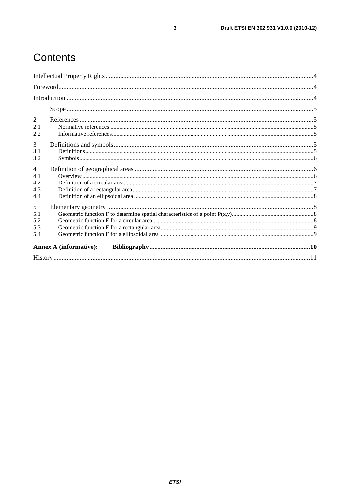# Contents

| 1<br>2<br>2.1<br>2.2<br>3<br>3.1<br>3.2<br>$\overline{4}$<br>4.1<br>4.2<br>4.3<br>4.4<br>5<br>5.1<br>5.2<br>5.3<br>5.4<br><b>Annex A (informative):</b> |  |  |  |  |  |  |
|---------------------------------------------------------------------------------------------------------------------------------------------------------|--|--|--|--|--|--|
|                                                                                                                                                         |  |  |  |  |  |  |
|                                                                                                                                                         |  |  |  |  |  |  |
|                                                                                                                                                         |  |  |  |  |  |  |
|                                                                                                                                                         |  |  |  |  |  |  |
|                                                                                                                                                         |  |  |  |  |  |  |
|                                                                                                                                                         |  |  |  |  |  |  |
|                                                                                                                                                         |  |  |  |  |  |  |
|                                                                                                                                                         |  |  |  |  |  |  |
|                                                                                                                                                         |  |  |  |  |  |  |
|                                                                                                                                                         |  |  |  |  |  |  |
|                                                                                                                                                         |  |  |  |  |  |  |
|                                                                                                                                                         |  |  |  |  |  |  |
|                                                                                                                                                         |  |  |  |  |  |  |
|                                                                                                                                                         |  |  |  |  |  |  |
|                                                                                                                                                         |  |  |  |  |  |  |
|                                                                                                                                                         |  |  |  |  |  |  |
|                                                                                                                                                         |  |  |  |  |  |  |
|                                                                                                                                                         |  |  |  |  |  |  |
|                                                                                                                                                         |  |  |  |  |  |  |
|                                                                                                                                                         |  |  |  |  |  |  |
|                                                                                                                                                         |  |  |  |  |  |  |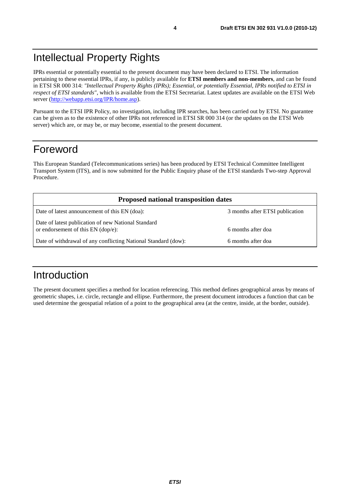IPRs essential or potentially essential to the present document may have been declared to ETSI. The information pertaining to these essential IPRs, if any, is publicly available for **ETSI members and non-members**, and can be found in ETSI SR 000 314: *"Intellectual Property Rights (IPRs); Essential, or potentially Essential, IPRs notified to ETSI in respect of ETSI standards"*, which is available from the ETSI Secretariat. Latest updates are available on the ETSI Web server ([http://webapp.etsi.org/IPR/home.asp\)](http://webapp.etsi.org/IPR/home.asp).

Pursuant to the ETSI IPR Policy, no investigation, including IPR searches, has been carried out by ETSI. No guarantee can be given as to the existence of other IPRs not referenced in ETSI SR 000 314 (or the updates on the ETSI Web server) which are, or may be, or may become, essential to the present document.

#### Foreword

This European Standard (Telecommunications series) has been produced by ETSI Technical Committee Intelligent Transport System (ITS), and is now submitted for the Public Enquiry phase of the ETSI standards Two-step Approval Procedure.

| <b>Proposed national transposition dates</b>                                                |                                 |  |  |  |
|---------------------------------------------------------------------------------------------|---------------------------------|--|--|--|
| Date of latest announcement of this EN (doa):                                               | 3 months after ETSI publication |  |  |  |
| Date of latest publication of new National Standard<br>or endorsement of this $EN$ (dop/e): | 6 months after doa              |  |  |  |
| Date of withdrawal of any conflicting National Standard (dow):                              | 6 months after doa              |  |  |  |

#### Introduction

The present document specifies a method for location referencing. This method defines geographical areas by means of geometric shapes, i.e. circle, rectangle and ellipse. Furthermore, the present document introduces a function that can be used determine the geospatial relation of a point to the geographical area (at the centre, inside, at the border, outside).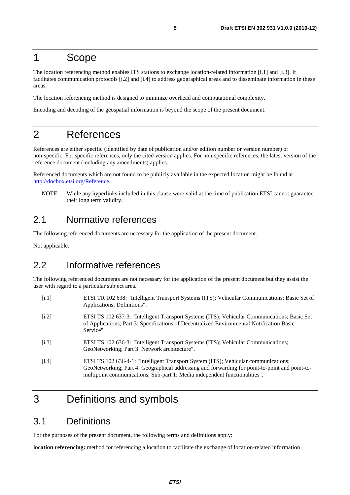#### 1 Scope

The location referencing method enables ITS stations to exchange location-related information [i.1] and [i.3]. It facilitates communication protocols [i.2] and [i.4] to address geographical areas and to disseminate information in these areas.

The location referencing method is designed to minimize overhead and computational complexity.

Encoding and decoding of the geospatial information is beyond the scope of the present document.

#### 2 References

References are either specific (identified by date of publication and/or edition number or version number) or non-specific. For specific references, only the cited version applies. For non-specific references, the latest version of the reference document (including any amendments) applies.

Referenced documents which are not found to be publicly available in the expected location might be found at [http://docbox.etsi.org/Reference.](http://docbox.etsi.org/Reference)

NOTE: While any hyperlinks included in this clause were valid at the time of publication ETSI cannot guarantee their long term validity.

#### 2.1 Normative references

The following referenced documents are necessary for the application of the present document.

Not applicable.

#### 2.2 Informative references

The following referenced documents are not necessary for the application of the present document but they assist the user with regard to a particular subject area.

- [i.1] ETSI TR 102 638: "Intelligent Transport Systems (ITS); Vehicular Communications; Basic Set of Applications; Definitions".
- [i.2] ETSI TS 102 637-3: "Intelligent Transport Systems (ITS); Vehicular Communications; Basic Set of Applications; Part 3: Specifications of Decentralized Environmental Notification Basic Service".
- [i.3] ETSI TS 102 636-3: "Intelligent Transport Systems (ITS); Vehicular Communications; GeoNetworking; Part 3: Network architecture".
- [i.4] ETSI TS 102 636-4-1: "Intelligent Transport System (ITS); Vehicular communications; GeoNetworking; Part 4: Geographical addressing and forwarding for point-to-point and point-tomultipoint communications; Sub-part 1: Media independent functionalities".

### 3 Definitions and symbols

#### 3.1 Definitions

For the purposes of the present document, the following terms and definitions apply:

**location referencing:** method for referencing a location to facilitate the exchange of location-related information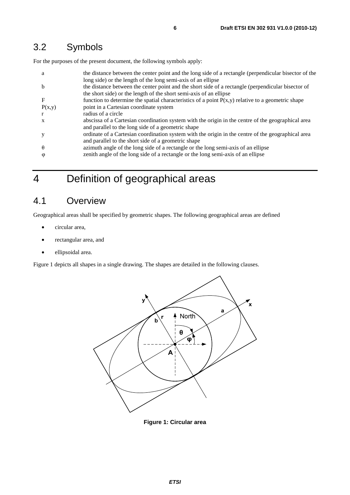#### 3.2 Symbols

For the purposes of the present document, the following symbols apply:

| a                     | the distance between the center point and the long side of a rectangle (perpendicular bisector of the |  |  |
|-----------------------|-------------------------------------------------------------------------------------------------------|--|--|
|                       | long side) or the length of the long semi-axis of an ellipse                                          |  |  |
| <sub>b</sub>          | the distance between the center point and the short side of a rectangle (perpendicular bisector of    |  |  |
|                       | the short side) or the length of the short semi-axis of an ellipse                                    |  |  |
| $\mathbf F$           | function to determine the spatial characteristics of a point $P(x,y)$ relative to a geometric shape   |  |  |
| P(x,y)                | point in a Cartesian coordinate system                                                                |  |  |
| $\mathbf{r}$          | radius of a circle                                                                                    |  |  |
| $\mathbf{X}$          | abscissa of a Cartesian coordination system with the origin in the centre of the geographical area    |  |  |
|                       | and parallel to the long side of a geometric shape                                                    |  |  |
| у                     | ordinate of a Cartesian coordination system with the origin in the centre of the geographical area    |  |  |
|                       | and parallel to the short side of a geometric shape                                                   |  |  |
| $\theta$              | azimuth angle of the long side of a rectangle or the long semi-axis of an ellipse                     |  |  |
| $\boldsymbol{\omega}$ | zenith angle of the long side of a rectangle or the long semi-axis of an ellipse                      |  |  |
|                       |                                                                                                       |  |  |

# 4 Definition of geographical areas

#### 4.1 Overview

Geographical areas shall be specified by geometric shapes. The following geographical areas are defined

- circular area,
- rectangular area, and
- ellipsoidal area.

Figure 1 depicts all shapes in a single drawing. The shapes are detailed in the following clauses.



**Figure 1: Circular area**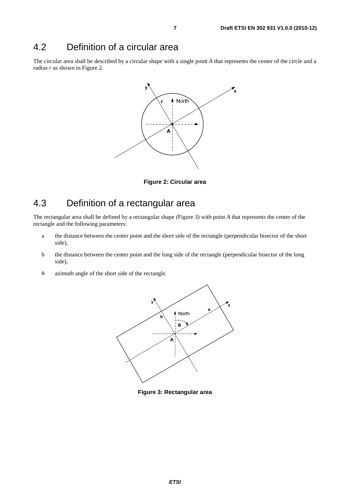#### 4.2 Definition of a circular area

The circular area shall be described by a circular shape with a single point *A* that represents the center of the circle and a radius *r* as shown in Figure 2.



**Figure 2: Circular area** 

### 4.3 Definition of a rectangular area

The rectangular area shall be defined by a rectangular shape *(*Figure 3) with point *A* that represents the center of the rectangle and the following parameters:

- a the distance between the center point and the short side of the rectangle (perpendicular bisector of the short side),
- b the distance between the center point and the long side of the rectangle (perpendicular bisector of the long side),
- <sup>θ</sup> azimuth angle of the short side of the rectangle.



**Figure 3: Rectangular area**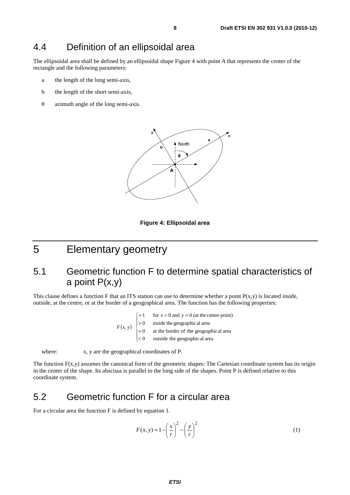#### 4.4 Definition of an ellipsoidal area

The ellipsoidal area shall be defined by an ellipsoidal shape Figure 4 with point *A* that represents the center of the rectangle and the following parameters:

- a the length of the long semi-axis,
- b the length of the short semi-axis,
- <sup>θ</sup> azimuth angle of the long semi-axis.





### 5 Elementary geometry

#### 5.1 Geometric function F to determine spatial characteristics of a point  $P(x,y)$

This clause defines a function F that an ITS station can use to determine whether a point  $P(x,y)$  is located inside, outside, at the centre, or at the border of a geographical area. The function has the following properties:

> $(x, y)$  $\overline{\phantom{a}}$  $\blacksquare$ ⎩  $\left\{ \right.$  $\frac{1}{2}$  $\begin{vmatrix} =1 & \text{for } x = 0 \text{ and } y = 0 \end{vmatrix}$  $\prec$ = > = outside the geographical area at the border of the geographical area inside the geographical area for  $x = 0$  and  $y = 0$  (at the centre point) 0 0 0 1  $F(x, y)$

where:  $x, y$  are the geographical coordinates of P.

The function  $F(x,y)$  assumes the canonical form of the geometric shapes: The Cartesian coordinate system has its origin in the center of the shape. Its abscissa is parallel to the long side of the shapes. Point P is defined relative to this coordinate system.

#### 5.2 Geometric function F for a circular area

For a circular area the function F is defined by equation 1.

$$
F(x, y) = 1 - \left(\frac{x}{r}\right)^2 - \left(\frac{y}{r}\right)^2\tag{1}
$$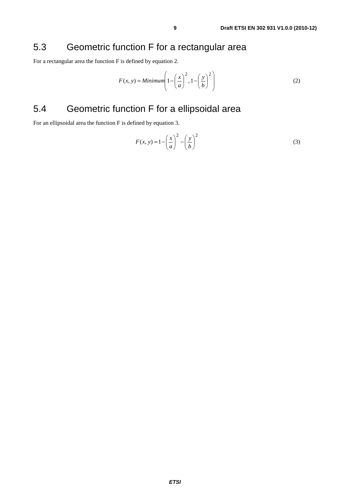#### 5.3 Geometric function F for a rectangular area

For a rectangular area the function F is defined by equation 2.

$$
F(x, y) = \text{Minimum}\left(1 - \left(\frac{x}{a}\right)^2, 1 - \left(\frac{y}{b}\right)^2\right) \tag{2}
$$

### 5.4 Geometric function F for a ellipsoidal area

For an ellipsoidal area the function F is defined by equation 3.

$$
F(x, y) = 1 - \left(\frac{x}{a}\right)^2 - \left(\frac{y}{b}\right)^2\tag{3}
$$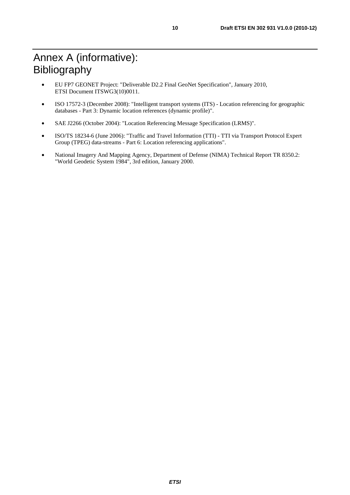- EU FP7 GEONET Project: "Deliverable D2.2 Final GeoNet Specification", January 2010, ETSI Document ITSWG3(10)0011.
- ISO 17572-3 (December 2008): "Intelligent transport systems (ITS) Location referencing for geographic databases - Part 3: Dynamic location references (dynamic profile)".
- SAE J2266 (October 2004): "Location Referencing Message Specification (LRMS)".
- ISO/TS 18234-6 (June 2006): "Traffic and Travel Information (TTI) TTI via Transport Protocol Expert Group (TPEG) data-streams - Part 6: Location referencing applications".
- National Imagery And Mapping Agency, Department of Defense (NIMA) Technical Report TR 8350.2: "World Geodetic System 1984", 3rd edition, January 2000.